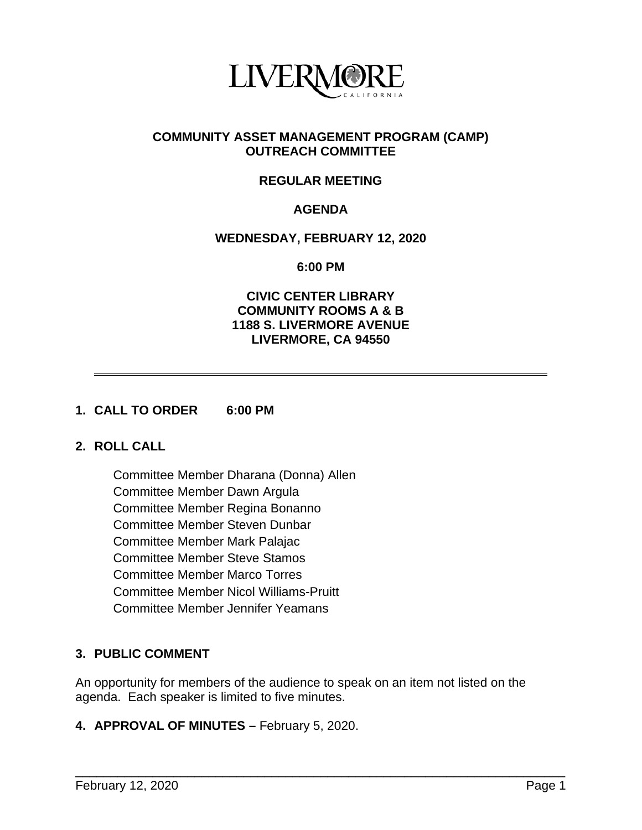

### **COMMUNITY ASSET MANAGEMENT PROGRAM (CAMP) OUTREACH COMMITTEE**

# **REGULAR MEETING**

# **AGENDA**

#### **WEDNESDAY, FEBRUARY 12, 2020**

**6:00 PM**

### **CIVIC CENTER LIBRARY COMMUNITY ROOMS A & B 1188 S. LIVERMORE AVENUE LIVERMORE, CA 94550**

#### **1. CALL TO ORDER 6:00 PM**

### **2. ROLL CALL**

Committee Member Dharana (Donna) Allen Committee Member Dawn Argula Committee Member Regina Bonanno Committee Member Steven Dunbar Committee Member Mark Palajac Committee Member Steve Stamos Committee Member Marco Torres Committee Member Nicol Williams-Pruitt Committee Member Jennifer Yeamans

# **3. PUBLIC COMMENT**

An opportunity for members of the audience to speak on an item not listed on the agenda. Each speaker is limited to five minutes.

\_\_\_\_\_\_\_\_\_\_\_\_\_\_\_\_\_\_\_\_\_\_\_\_\_\_\_\_\_\_\_\_\_\_\_\_\_\_\_\_\_\_\_\_\_\_\_\_\_\_\_\_\_\_\_\_\_\_\_\_\_\_\_\_\_\_\_\_\_\_

#### **4. APPROVAL OF MINUTES –** February 5, 2020.